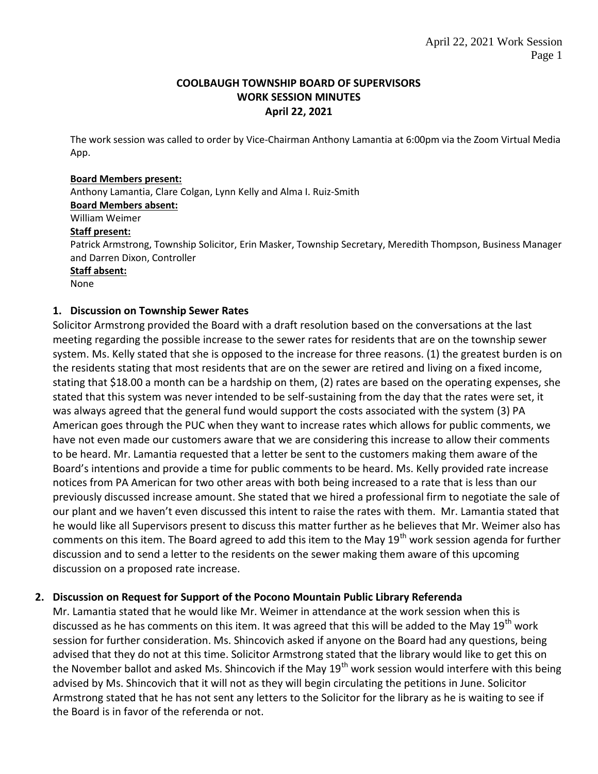### **COOLBAUGH TOWNSHIP BOARD OF SUPERVISORS WORK SESSION MINUTES April 22, 2021**

The work session was called to order by Vice-Chairman Anthony Lamantia at 6:00pm via the Zoom Virtual Media App.

#### **Board Members present:**

Anthony Lamantia, Clare Colgan, Lynn Kelly and Alma I. Ruiz-Smith **Board Members absent:** William Weimer **Staff present:** Patrick Armstrong, Township Solicitor, Erin Masker, Township Secretary, Meredith Thompson, Business Manager and Darren Dixon, Controller **Staff absent:** None

## **1. Discussion on Township Sewer Rates**

Solicitor Armstrong provided the Board with a draft resolution based on the conversations at the last meeting regarding the possible increase to the sewer rates for residents that are on the township sewer system. Ms. Kelly stated that she is opposed to the increase for three reasons. (1) the greatest burden is on the residents stating that most residents that are on the sewer are retired and living on a fixed income, stating that \$18.00 a month can be a hardship on them, (2) rates are based on the operating expenses, she stated that this system was never intended to be self-sustaining from the day that the rates were set, it was always agreed that the general fund would support the costs associated with the system (3) PA American goes through the PUC when they want to increase rates which allows for public comments, we have not even made our customers aware that we are considering this increase to allow their comments to be heard. Mr. Lamantia requested that a letter be sent to the customers making them aware of the Board's intentions and provide a time for public comments to be heard. Ms. Kelly provided rate increase notices from PA American for two other areas with both being increased to a rate that is less than our previously discussed increase amount. She stated that we hired a professional firm to negotiate the sale of our plant and we haven't even discussed this intent to raise the rates with them. Mr. Lamantia stated that he would like all Supervisors present to discuss this matter further as he believes that Mr. Weimer also has comments on this item. The Board agreed to add this item to the May  $19<sup>th</sup>$  work session agenda for further discussion and to send a letter to the residents on the sewer making them aware of this upcoming discussion on a proposed rate increase.

# **2. Discussion on Request for Support of the Pocono Mountain Public Library Referenda**

Mr. Lamantia stated that he would like Mr. Weimer in attendance at the work session when this is discussed as he has comments on this item. It was agreed that this will be added to the May 19<sup>th</sup> work session for further consideration. Ms. Shincovich asked if anyone on the Board had any questions, being advised that they do not at this time. Solicitor Armstrong stated that the library would like to get this on the November ballot and asked Ms. Shincovich if the May 19<sup>th</sup> work session would interfere with this being advised by Ms. Shincovich that it will not as they will begin circulating the petitions in June. Solicitor Armstrong stated that he has not sent any letters to the Solicitor for the library as he is waiting to see if the Board is in favor of the referenda or not.